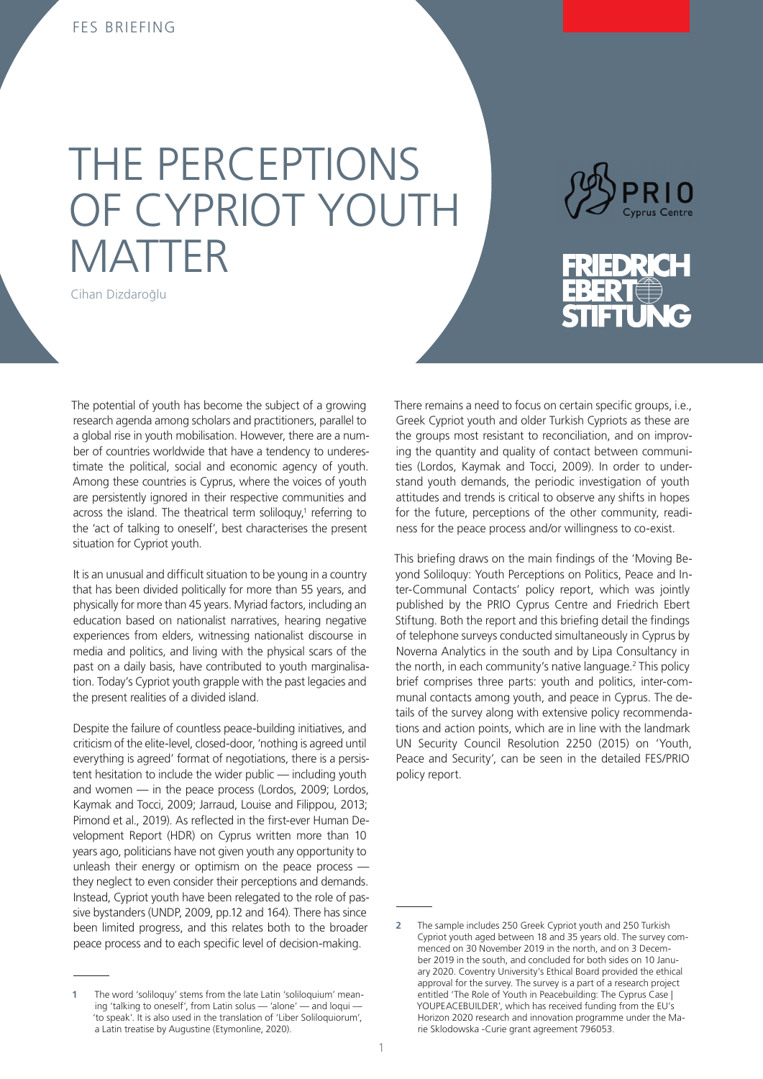# THE PERCEPTIONS OF CYPRIOT YOUTH MATTER

Cihan Dizdaroğlu



The potential of youth has become the subject of a growing research agenda among scholars and practitioners, parallel to a global rise in youth mobilisation. However, there are a number of countries worldwide that have a tendency to underestimate the political, social and economic agency of youth. Among these countries is Cyprus, where the voices of youth are persistently ignored in their respective communities and across the island. The theatrical term soliloquy,<sup>1</sup> referring to the 'act of talking to oneself', best characterises the present situation for Cypriot youth.

It is an unusual and difficult situation to be young in a country that has been divided politically for more than 55 years, and physically for more than 45 years. Myriad factors, including an education based on nationalist narratives, hearing negative experiences from elders, witnessing nationalist discourse in media and politics, and living with the physical scars of the past on a daily basis, have contributed to youth marginalisation. Today's Cypriot youth grapple with the past legacies and the present realities of a divided island.

Despite the failure of countless peace-building initiatives, and criticism of the elite-level, closed-door, 'nothing is agreed until everything is agreed' format of negotiations, there is a persistent hesitation to include the wider public — including youth and women — in the peace process (Lordos, 2009; Lordos, Kaymak and Tocci, 2009; Jarraud, Louise and Filippou, 2013; Pimond et al., 2019). As reflected in the first-ever Human Development Report (HDR) on Cyprus written more than 10 years ago, politicians have not given youth any opportunity to unleash their energy or optimism on the peace process they neglect to even consider their perceptions and demands. Instead, Cypriot youth have been relegated to the role of passive bystanders (UNDP, 2009, pp.12 and 164). There has since been limited progress, and this relates both to the broader peace process and to each specific level of decision-making.

**1** The word 'soliloquy' stems from the late Latin 'soliloquium' meaning 'talking to oneself', from Latin solus — 'alone' — and loqui -'to speak'. It is also used in the translation of 'Liber Soliloquiorum', a Latin treatise by Augustine (Etymonline, 2020).

There remains a need to focus on certain specific groups, i.e., Greek Cypriot youth and older Turkish Cypriots as these are the groups most resistant to reconciliation, and on improving the quantity and quality of contact between communities (Lordos, Kaymak and Tocci, 2009). In order to understand youth demands, the periodic investigation of youth attitudes and trends is critical to observe any shifts in hopes for the future, perceptions of the other community, readiness for the peace process and/or willingness to co-exist.

This briefing draws on the main findings of the 'Moving Beyond Soliloquy: Youth Perceptions on Politics, Peace and Inter-Communal Contacts' policy report, which was jointly published by the PRIO Cyprus Centre and Friedrich Ebert Stiftung. Both the report and this briefing detail the findings of telephone surveys conducted simultaneously in Cyprus by Noverna Analytics in the south and by Lipa Consultancy in the north, in each community's native language.2 2This policy brief comprises three parts: youth and politics, inter-communal contacts among youth, and peace in Cyprus. The details of the survey along with extensive policy recommendations and action points, which are in line with the landmark UN Security Council Resolution 2250 (2015) on 'Youth, Peace and Security', can be seen in the detailed FES/PRIO policy report.

**<sup>2</sup>** The sample includes 250 Greek Cypriot youth and 250 Turkish Cypriot youth aged between 18 and 35 years old. The survey commenced on 30 November 2019 in the north, and on 3 December 2019 in the south, and concluded for both sides on 10 January 2020. Coventry University's Ethical Board provided the ethical approval for the survey. The survey is a part of a research project entitled 'The Role of Youth in Peacebuilding: The Cyprus Case | YOUPEACEBUILDER', which has received funding from the EU's Horizon 2020 research and innovation programme under the Marie Sklodowska -Curie grant agreement 796053.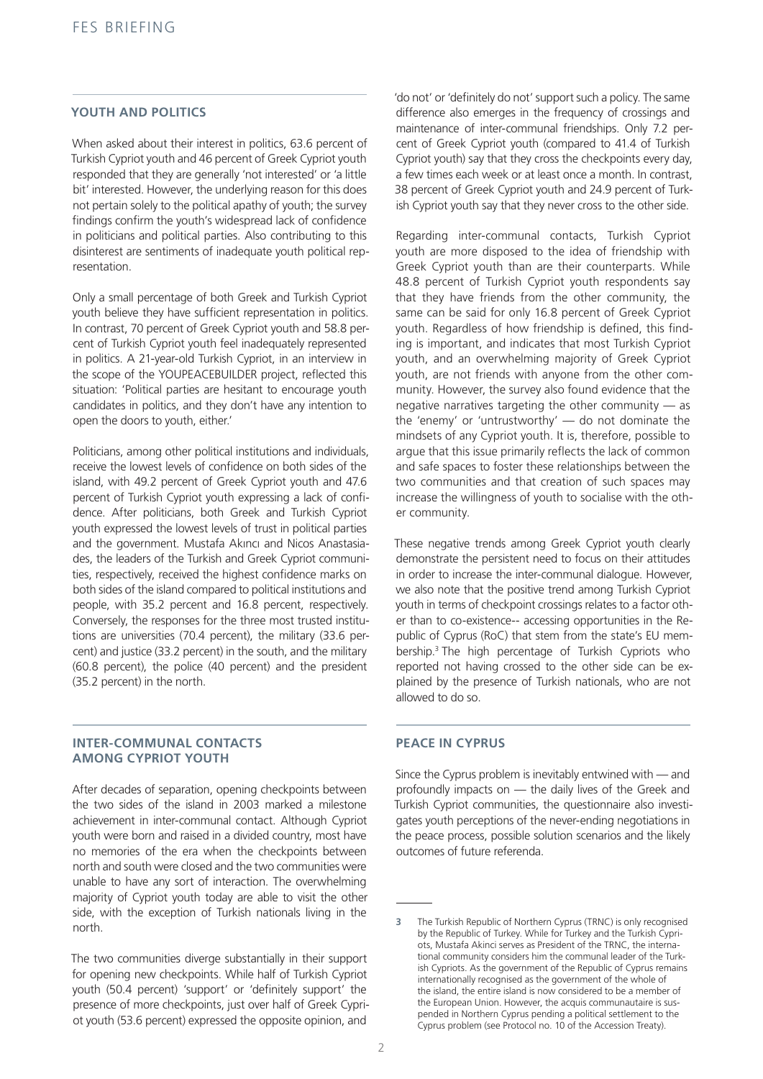## **YOUTH AND POLITICS**

When asked about their interest in politics, 63.6 percent of Turkish Cypriot youth and 46 percent of Greek Cypriot youth responded that they are generally 'not interested' or 'a little bit' interested. However, the underlying reason for this does not pertain solely to the political apathy of youth; the survey findings confirm the youth's widespread lack of confidence in politicians and political parties. Also contributing to this disinterest are sentiments of inadequate youth political representation.

Only a small percentage of both Greek and Turkish Cypriot youth believe they have sufficient representation in politics. In contrast, 70 percent of Greek Cypriot youth and 58.8 percent of Turkish Cypriot youth feel inadequately represented in politics. A 21-year-old Turkish Cypriot, in an interview in the scope of the YOUPEACEBUILDER project, reflected this situation: 'Political parties are hesitant to encourage youth candidates in politics, and they don't have any intention to open the doors to youth, either.'

Politicians, among other political institutions and individuals, receive the lowest levels of confidence on both sides of the island, with 49.2 percent of Greek Cypriot youth and 47.6 percent of Turkish Cypriot youth expressing a lack of confidence. After politicians, both Greek and Turkish Cypriot youth expressed the lowest levels of trust in political parties and the government. Mustafa Akıncı and Nicos Anastasiades, the leaders of the Turkish and Greek Cypriot communities, respectively, received the highest confidence marks on both sides of the island compared to political institutions and people, with 35.2 percent and 16.8 percent, respectively. Conversely, the responses for the three most trusted institutions are universities (70.4 percent), the military (33.6 percent) and justice (33.2 percent) in the south, and the military (60.8 percent), the police (40 percent) and the president (35.2 percent) in the north.

#### **INTER-COMMUNAL CONTACTS AMONG CYPRIOT YOUTH**

After decades of separation, opening checkpoints between the two sides of the island in 2003 marked a milestone achievement in inter-communal contact. Although Cypriot youth were born and raised in a divided country, most have no memories of the era when the checkpoints between north and south were closed and the two communities were unable to have any sort of interaction. The overwhelming majority of Cypriot youth today are able to visit the other side, with the exception of Turkish nationals living in the north.

The two communities diverge substantially in their support for opening new checkpoints. While half of Turkish Cypriot youth (50.4 percent) 'support' or 'definitely support' the presence of more checkpoints, just over half of Greek Cypriot youth (53.6 percent) expressed the opposite opinion, and

'do not' or 'definitely do not' support such a policy. The same difference also emerges in the frequency of crossings and maintenance of inter-communal friendships. Only 7.2 percent of Greek Cypriot youth (compared to 41.4 of Turkish Cypriot youth) say that they cross the checkpoints every day, a few times each week or at least once a month. In contrast, 38 percent of Greek Cypriot youth and 24.9 percent of Turkish Cypriot youth say that they never cross to the other side.

Regarding inter-communal contacts, Turkish Cypriot youth are more disposed to the idea of friendship with Greek Cypriot youth than are their counterparts. While 48.8 percent of Turkish Cypriot youth respondents say that they have friends from the other community, the same can be said for only 16.8 percent of Greek Cypriot youth. Regardless of how friendship is defined, this finding is important, and indicates that most Turkish Cypriot youth, and an overwhelming majority of Greek Cypriot youth, are not friends with anyone from the other community. However, the survey also found evidence that the negative narratives targeting the other community — as the 'enemy' or 'untrustworthy' — do not dominate the mindsets of any Cypriot youth. It is, therefore, possible to argue that this issue primarily reflects the lack of common and safe spaces to foster these relationships between the two communities and that creation of such spaces may increase the willingness of youth to socialise with the other community.

These negative trends among Greek Cypriot youth clearly demonstrate the persistent need to focus on their attitudes in order to increase the inter-communal dialogue. However, we also note that the positive trend among Turkish Cypriot youth in terms of checkpoint crossings relates to a factor other than to co-existence-- accessing opportunities in the Republic of Cyprus (RoC) that stem from the state's EU membership.3 3The high percentage of Turkish Cypriots who reported not having crossed to the other side can be explained by the presence of Turkish nationals, who are not allowed to do so.

### **PEACE IN CYPRUS**

Since the Cyprus problem is inevitably entwined with — and profoundly impacts on — the daily lives of the Greek and Turkish Cypriot communities, the questionnaire also investigates youth perceptions of the never-ending negotiations in the peace process, possible solution scenarios and the likely outcomes of future referenda.

**<sup>3</sup>** The Turkish Republic of Northern Cyprus (TRNC) is only recognised by the Republic of Turkey. While for Turkey and the Turkish Cypriots, Mustafa Akinci serves as President of the TRNC, the international community considers him the communal leader of the Turkish Cypriots. As the government of the Republic of Cyprus remains internationally recognised as the government of the whole of the island, the entire island is now considered to be a member of the European Union. However, the acquis communautaire is suspended in Northern Cyprus pending a political settlement to the Cyprus problem (see Protocol no. 10 of the Accession Treaty).